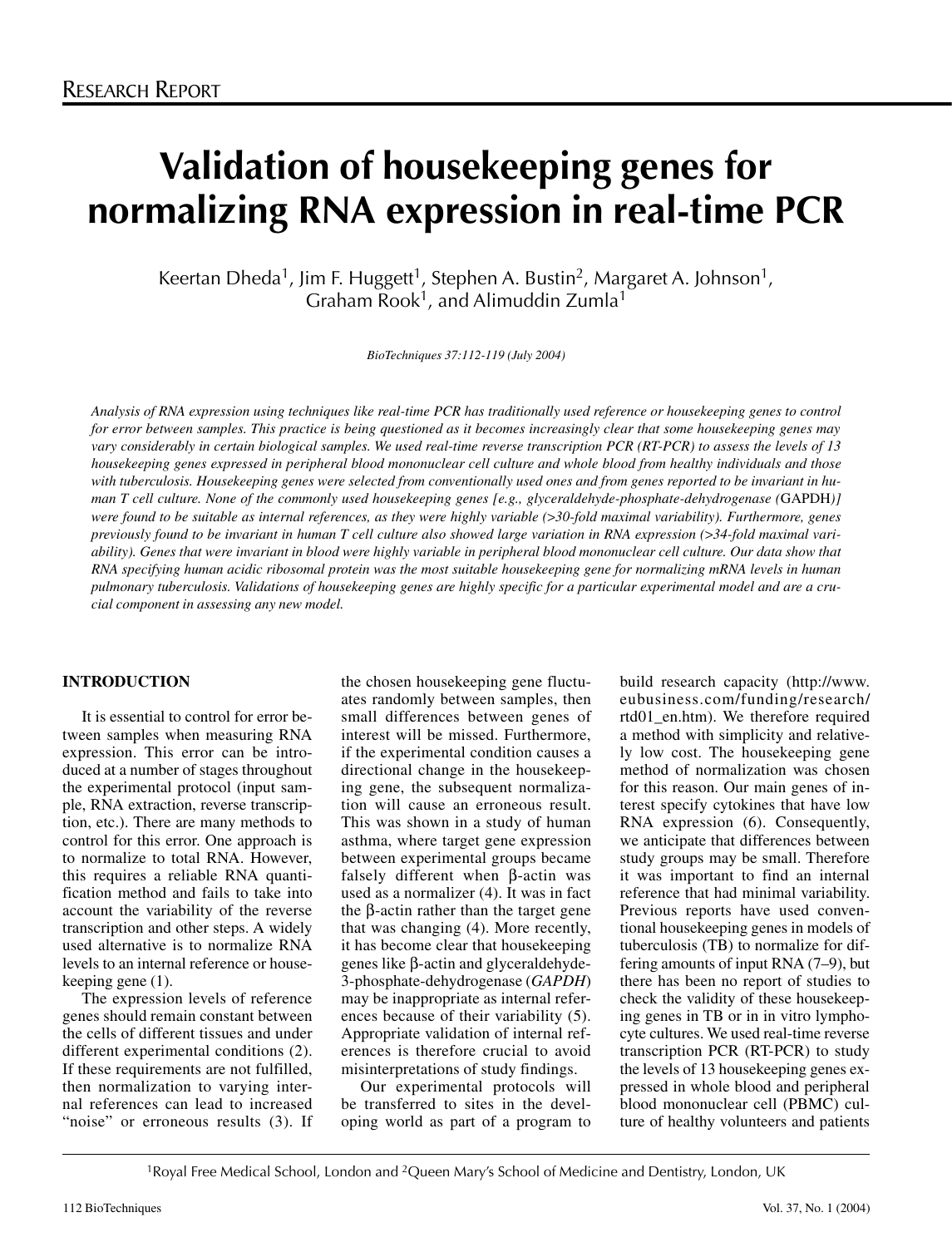# **Validation of housekeeping genes for normalizing RNA expression in real-time PCR**

Keertan Dheda<sup>1</sup>, Jim F. Huggett<sup>1</sup>, Stephen A. Bustin<sup>2</sup>, Margaret A. Johnson<sup>1</sup>, Graham  $\widetilde{R}$ ook<sup>1</sup>, and Alimuddin Zumla<sup>1</sup>

*BioTechniques 37:112-119 (July 2004)*

*Analysis of RNA expression using techniques like real-time PCR has traditionally used reference or housekeeping genes to control for error between samples. This practice is being questioned as it becomes increasingly clear that some housekeeping genes may vary considerably in certain biological samples. We used real-time reverse transcription PCR (RT-PCR) to assess the levels of 13 housekeeping genes expressed in peripheral blood mononuclear cell culture and whole blood from healthy individuals and those with tuberculosis. Housekeeping genes were selected from conventionally used ones and from genes reported to be invariant in human T cell culture. None of the commonly used housekeeping genes [e.g., glyceraldehyde-phosphate-dehydrogenase (*GAPDH*)] were found to be suitable as internal references, as they were highly variable (*>*30-fold maximal variability). Furthermore, genes previously found to be invariant in human T cell culture also showed large variation in RNA expression (*>*34-fold maximal variability). Genes that were invariant in blood were highly variable in peripheral blood mononuclear cell culture. Our data show that RNA specifying human acidic ribosomal protein was the most suitable housekeeping gene for normalizing mRNA levels in human pulmonary tuberculosis. Validations of housekeeping genes are highly specific for a particular experimental model and are a crucial component in assessing any new model.* 

## **INTRODUCTION**

It is essential to control for error between samples when measuring RNA expression. This error can be introduced at a number of stages throughout the experimental protocol (input sample, RNA extraction, reverse transcription, etc.). There are many methods to control for this error. One approach is to normalize to total RNA. However, this requires a reliable RNA quantification method and fails to take into account the variability of the reverse transcription and other steps. A widely used alternative is to normalize RNA levels to an internal reference or housekeeping gene (1).

The expression levels of reference genes should remain constant between the cells of different tissues and under different experimental conditions (2). If these requirements are not fulfilled, then normalization to varying internal references can lead to increased "noise" or erroneous results (3). If

the chosen housekeeping gene fluctuates randomly between samples, then small differences between genes of interest will be missed. Furthermore, if the experimental condition causes a directional change in the housekeeping gene, the subsequent normalization will cause an erroneous result. This was shown in a study of human asthma, where target gene expression between experimental groups became falsely different when β-actin was used as a normalizer (4). It was in fact the β-actin rather than the target gene that was changing (4). More recently, it has become clear that housekeeping genes like β-actin and glyceraldehyde-3-phosphate-dehydrogenase (*GAPDH*) may be inappropriate as internal references because of their variability (5). Appropriate validation of internal references is therefore crucial to avoid misinterpretations of study findings.

Our experimental protocols will be transferred to sites in the developing world as part of a program to build research capacity (http://www. eubusiness.com/funding/research/ rtd01\_en.htm). We therefore required a method with simplicity and relatively low cost. The housekeeping gene method of normalization was chosen for this reason. Our main genes of interest specify cytokines that have low RNA expression (6). Consequently, we anticipate that differences between study groups may be small. Therefore it was important to find an internal reference that had minimal variability. Previous reports have used conventional housekeeping genes in models of tuberculosis (TB) to normalize for differing amounts of input RNA (7–9), but there has been no report of studies to check the validity of these housekeeping genes in TB or in in vitro lymphocyte cultures. We used real-time reverse transcription PCR (RT-PCR) to study the levels of 13 housekeeping genes expressed in whole blood and peripheral blood mononuclear cell (PBMC) culture of healthy volunteers and patients

1Royal Free Medical School, London and 2Queen Mary's School of Medicine and Dentistry, London, UK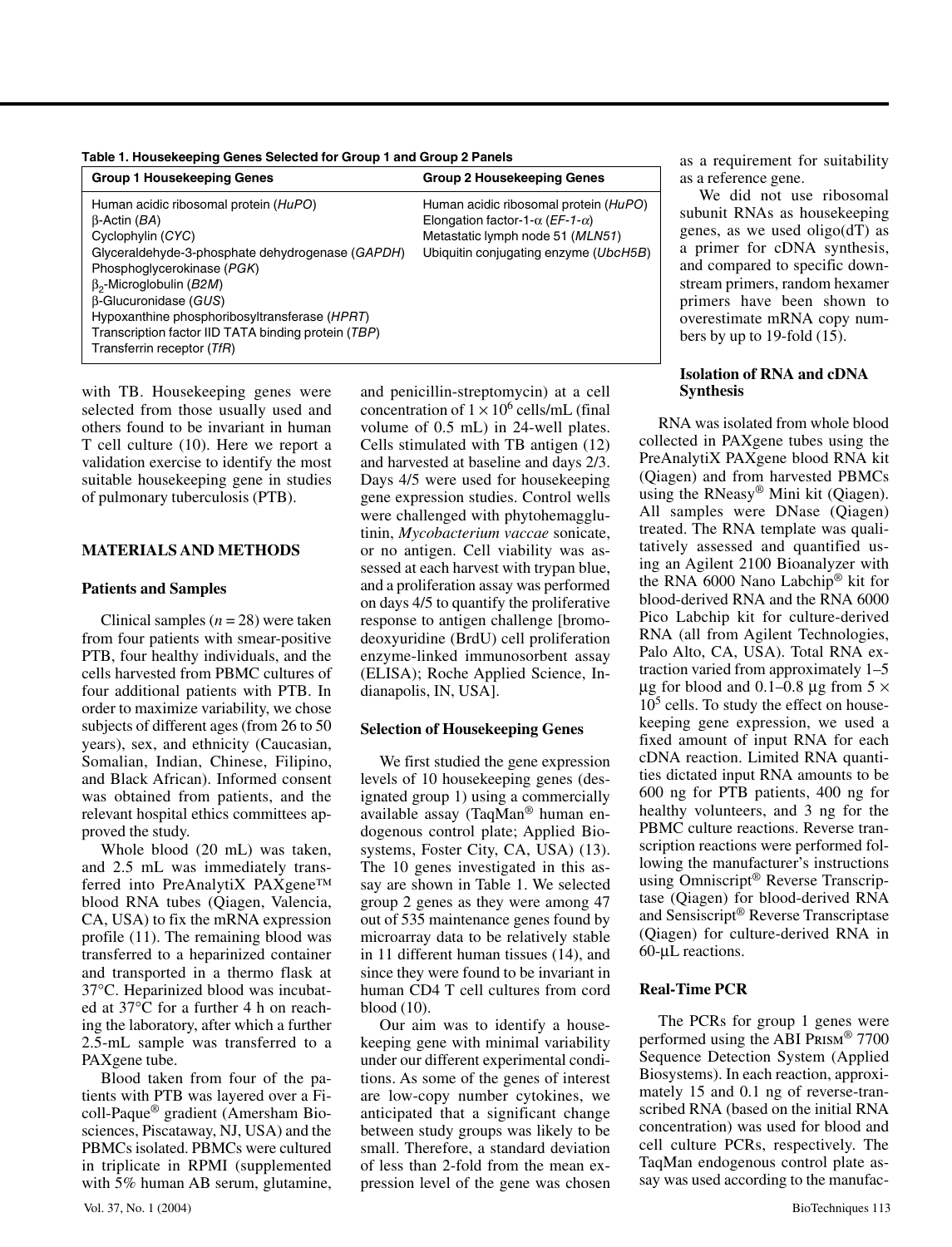| Table 1. Housekeeping Genes Selected for Group 1 and Group 2 Panels |
|---------------------------------------------------------------------|
|---------------------------------------------------------------------|

| <b>Group 1 Housekeeping Genes</b>                                                                                                                                                                                                                                                                                                                                                    | <b>Group 2 Housekeeping Genes</b>                                                                                                                                     |
|--------------------------------------------------------------------------------------------------------------------------------------------------------------------------------------------------------------------------------------------------------------------------------------------------------------------------------------------------------------------------------------|-----------------------------------------------------------------------------------------------------------------------------------------------------------------------|
| Human acidic ribosomal protein (HuPO)<br>$\beta$ -Actin ( <i>BA</i> )<br>Cyclophylin (CYC)<br>Glyceraldehyde-3-phosphate dehydrogenase (GAPDH)<br>Phosphoglycerokinase (PGK)<br>$\beta_2$ -Microglobulin (B2M)<br>$\beta$ -Glucuronidase (GUS)<br>Hypoxanthine phosphoribosyltransferase (HPRT)<br>Transcription factor IID TATA binding protein (TBP)<br>Transferrin receptor (TfR) | Human acidic ribosomal protein (HuPO)<br>Elongation factor-1- $\alpha$ (EF-1- $\alpha$ )<br>Metastatic lymph node 51 (MLN51)<br>Ubiquitin conjugating enzyme (UbcH5B) |

with TB. Housekeeping genes were selected from those usually used and others found to be invariant in human T cell culture (10). Here we report a validation exercise to identify the most suitable housekeeping gene in studies of pulmonary tuberculosis (PTB).

## **MATERIALS AND METHODS**

### **Patients and Samples**

Clinical samples  $(n = 28)$  were taken from four patients with smear-positive PTB, four healthy individuals, and the cells harvested from PBMC cultures of four additional patients with PTB. In order to maximize variability, we chose subjects of different ages (from 26 to 50 years), sex, and ethnicity (Caucasian, Somalian, Indian, Chinese, Filipino, and Black African). Informed consent was obtained from patients, and the relevant hospital ethics committees approved the study.

Whole blood (20 mL) was taken, and 2.5 mL was immediately transferred into PreAnalytiX PAXgene™ blood RNA tubes (Qiagen, Valencia, CA, USA) to fix the mRNA expression profile (11). The remaining blood was transferred to a heparinized container and transported in a thermo flask at 37°C. Heparinized blood was incubated at 37°C for a further 4 h on reaching the laboratory, after which a further 2.5-mL sample was transferred to a PAXgene tube.

Blood taken from four of the patients with PTB was layered over a Ficoll-Paque® gradient (Amersham Biosciences, Piscataway, NJ, USA) and the PBMCs isolated. PBMCs were cultured in triplicate in RPMI (supplemented with 5% human AB serum, glutamine, and penicillin-streptomycin) at a cell concentration of  $1 \times 10^6$  cells/mL (final volume of 0.5 mL) in 24-well plates. Cells stimulated with TB antigen (12) and harvested at baseline and days 2/3. Days 4/5 were used for housekeeping gene expression studies. Control wells were challenged with phytohemagglutinin, *Mycobacterium vaccae* sonicate, or no antigen. Cell viability was assessed at each harvest with trypan blue, and a proliferation assay was performed on days 4/5 to quantify the proliferative response to antigen challenge [bromodeoxyuridine (BrdU) cell proliferation enzyme-linked immunosorbent assay (ELISA); Roche Applied Science, Indianapolis, IN, USA].

## **Selection of Housekeeping Genes**

We first studied the gene expression levels of 10 housekeeping genes (designated group 1) using a commercially available assay (TaqMan® human endogenous control plate; Applied Biosystems, Foster City, CA, USA) (13). The 10 genes investigated in this assay are shown in Table 1. We selected group 2 genes as they were among 47 out of 535 maintenance genes found by microarray data to be relatively stable in 11 different human tissues (14), and since they were found to be invariant in human CD4 T cell cultures from cord blood (10).

Our aim was to identify a housekeeping gene with minimal variability under our different experimental conditions. As some of the genes of interest are low-copy number cytokines, we anticipated that a significant change between study groups was likely to be small. Therefore, a standard deviation of less than 2-fold from the mean expression level of the gene was chosen

as a requirement for suitability as a reference gene.

We did not use ribosomal subunit RNAs as housekeeping genes, as we used oligo(dT) as a primer for cDNA synthesis, and compared to specific downstream primers, random hexamer primers have been shown to overestimate mRNA copy numbers by up to 19-fold (15).

## **Isolation of RNA and cDNA Synthesis**

RNA was isolated from whole blood collected in PAXgene tubes using the PreAnalytiX PAXgene blood RNA kit (Qiagen) and from harvested PBMCs using the RNeasy® Mini kit (Qiagen). All samples were DNase (Qiagen) treated. The RNA template was qualitatively assessed and quantified using an Agilent 2100 Bioanalyzer with the RNA 6000 Nano Labchip® kit for blood-derived RNA and the RNA 6000 Pico Labchip kit for culture-derived RNA (all from Agilent Technologies, Palo Alto, CA, USA). Total RNA extraction varied from approximately 1–5 μg for blood and 0.1–0.8 μg from  $5 \times$  $10<sup>5</sup>$  cells. To study the effect on housekeeping gene expression, we used a fixed amount of input RNA for each cDNA reaction. Limited RNA quantities dictated input RNA amounts to be 600 ng for PTB patients, 400 ng for healthy volunteers, and 3 ng for the PBMC culture reactions. Reverse transcription reactions were performed following the manufacturer's instructions using Omniscript® Reverse Transcriptase (Qiagen) for blood-derived RNA and Sensiscript® Reverse Transcriptase (Qiagen) for culture-derived RNA in 60-μL reactions.

## **Real-Time PCR**

The PCRs for group 1 genes were performed using the ABI Prism® 7700 Sequence Detection System (Applied Biosystems). In each reaction, approximately 15 and 0.1 ng of reverse-transcribed RNA (based on the initial RNA concentration) was used for blood and cell culture PCRs, respectively. The TaqMan endogenous control plate assay was used according to the manufac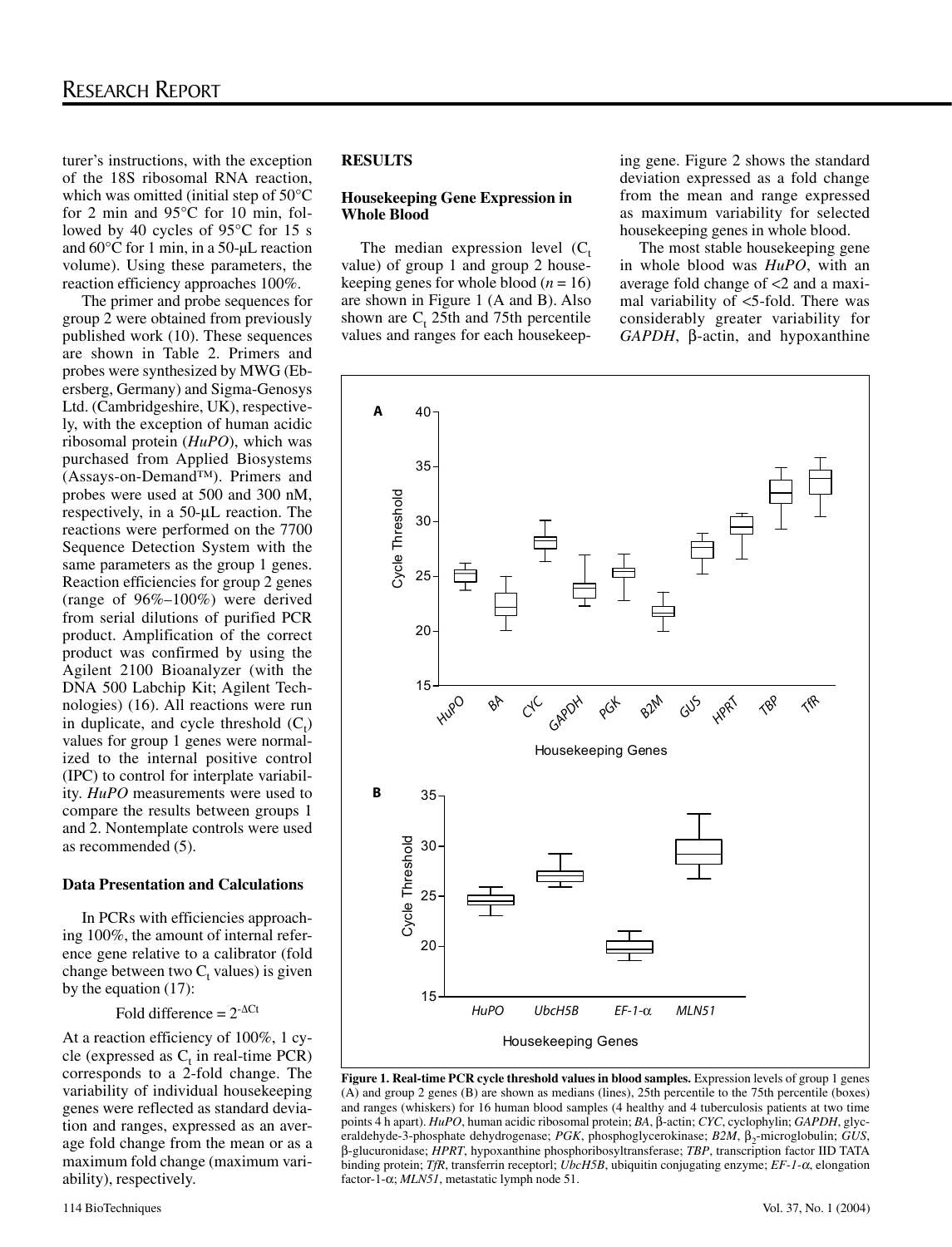turer's instructions, with the exception of the 18S ribosomal RNA reaction, which was omitted (initial step of 50°C for 2 min and 95°C for 10 min, followed by 40 cycles of 95°C for 15 s and 60°C for 1 min, in a 50-µL reaction volume). Using these parameters, the reaction efficiency approaches 100%.

The primer and probe sequences for group 2 were obtained from previously published work (10). These sequences are shown in Table 2. Primers and probes were synthesized by MWG (Ebersberg, Germany) and Sigma-Genosys Ltd. (Cambridgeshire, UK), respectively, with the exception of human acidic ribosomal protein (*HuPO*), which was purchased from Applied Biosystems (Assays-on-Demand™). Primers and probes were used at 500 and 300 nM, respectively, in a 50-μL reaction. The reactions were performed on the 7700 Sequence Detection System with the same parameters as the group 1 genes. Reaction efficiencies for group 2 genes (range of 96%–100%) were derived from serial dilutions of purified PCR product. Amplification of the correct product was confirmed by using the Agilent 2100 Bioanalyzer (with the DNA 500 Labchip Kit; Agilent Technologies) (16). All reactions were run in duplicate, and cycle threshold  $(C_t)$ values for group 1 genes were normalized to the internal positive control (IPC) to control for interplate variability. *HuPO* measurements were used to compare the results between groups 1 and 2. Nontemplate controls were used as recommended (5).

### **Data Presentation and Calculations**

In PCRs with efficiencies approaching 100%, the amount of internal reference gene relative to a calibrator (fold change between two  $C_t$  values) is given by the equation (17):

#### Fold difference =  $2^{-\Delta Ct}$

At a reaction efficiency of 100%, 1 cycle (expressed as  $C_t$  in real-time PCR) corresponds to a 2-fold change. The variability of individual housekeeping genes were reflected as standard deviation and ranges, expressed as an average fold change from the mean or as a maximum fold change (maximum variability), respectively.

### **RESULTS**

#### **Housekeeping Gene Expression in Whole Blood**

The median expression level  $(C<sub>t</sub>)$ value) of group 1 and group 2 housekeeping genes for whole blood  $(n = 16)$ are shown in Figure 1 (A and B). Also shown are  $C_t$  25th and 75th percentile values and ranges for each housekeeping gene. Figure 2 shows the standard deviation expressed as a fold change from the mean and range expressed as maximum variability for selected housekeeping genes in whole blood.

The most stable housekeeping gene in whole blood was *HuPO*, with an average fold change of <2 and a maximal variability of <5-fold. There was considerably greater variability for *GAPDH*, β-actin, and hypoxanthine



**Figure 1. Real-time PCR cycle threshold values in blood samples.** Expression levels of group 1 genes (A) and group 2 genes (B) are shown as medians (lines), 25th percentile to the 75th percentile (boxes) and ranges (whiskers) for 16 human blood samples (4 healthy and 4 tuberculosis patients at two time points 4 h apart). *HuPO*, human acidic ribosomal protein; *BA*, β-actin; *CYC*, cyclophylin; *GAPDH*, glyceraldehyde-3-phosphate dehydrogenase; *PGK*, phosphoglycerokinase; *B2M*, β<sub>2</sub>-microglobulin; *GUS*, β-glucuronidase; *HPRT*, hypoxanthine phosphoribosyltransferase; *TBP*, transcription factor IID TATA binding protein; *TfR*, transferrin receptorl; *UbcH5B*, ubiquitin conjugating enzyme; *EF-1-*α, elongation factor-1-α; *MLN51*, metastatic lymph node 51.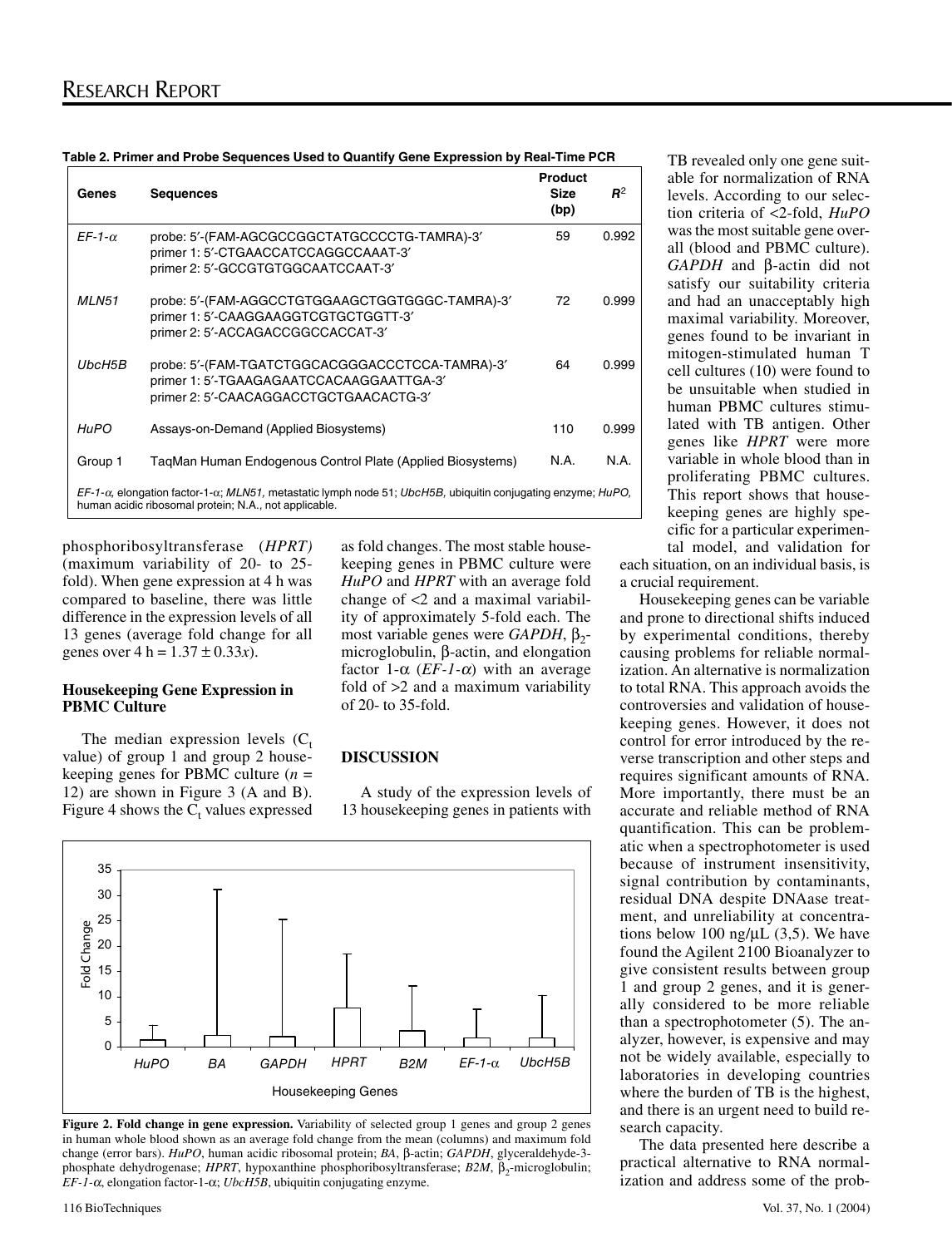| Genes                                                                                                                                                                                     | <b>Sequences</b>                                                                                                                      | <b>Product</b><br><b>Size</b><br>(bp) | $R^2$ |
|-------------------------------------------------------------------------------------------------------------------------------------------------------------------------------------------|---------------------------------------------------------------------------------------------------------------------------------------|---------------------------------------|-------|
| $EF-1-\alpha$                                                                                                                                                                             | probe: 5'-(FAM-AGCGCCGGCTATGCCCCTG-TAMRA)-3'<br>primer 1: 5'-CTGAACCATCCAGGCCAAAT-3'<br>primer 2: 5'-GCCGTGTGGCAATCCAAT-3'            | 59                                    | 0.992 |
| <b>MLN51</b>                                                                                                                                                                              | probe: 5'-(FAM-AGGCCTGTGGAAGCTGGTGGGC-TAMRA)-3'<br>primer 1: 5'-CAAGGAAGGTCGTGCTGGTT-3'<br>primer 2: 5'-ACCAGACCGGCCACCAT-3'          | 72                                    | 0.999 |
| UbcH5B                                                                                                                                                                                    | probe: 5'-(FAM-TGATCTGGCACGGGACCCTCCA-TAMRA)-3'<br>primer 1: 5'-TGAAGAGAATCCACAAGGAATTGA-3'<br>primer 2: 5'-CAACAGGACCTGCTGAACACTG-3' | 64                                    | 0.999 |
| <b>HuPO</b>                                                                                                                                                                               | Assays-on-Demand (Applied Biosystems)                                                                                                 | 110                                   | 0.999 |
| Group 1                                                                                                                                                                                   | TagMan Human Endogenous Control Plate (Applied Biosystems)                                                                            | N.A.                                  | N.A.  |
| $EF$ -1- $\alpha$ , elongation factor-1- $\alpha$ ; MLN51, metastatic lymph node 51; UbcH5B, ubiquitin conjugating enzyme; HuPO,<br>human acidic ribosomal protein; N.A., not applicable. |                                                                                                                                       |                                       |       |

**Table 2. Primer and Probe Sequences Used to Quantify Gene Expression by Real-Time PCR**

phosphoribosyltransferase (*HPRT)* (maximum variability of 20- to 25 fold). When gene expression at 4 h was compared to baseline, there was little difference in the expression levels of all 13 genes (average fold change for all genes over  $4 h = 1.37 \pm 0.33x$ .

#### **Housekeeping Gene Expression in PBMC Culture**

The median expression levels  $(C_t)$ value) of group 1 and group 2 housekeeping genes for PBMC culture (*n* = 12) are shown in Figure 3 (A and B). Figure 4 shows the  $C_t$  values expressed

as fold changes. The most stable housekeeping genes in PBMC culture were *HuPO* and *HPRT* with an average fold change of <2 and a maximal variability of approximately 5-fold each. The most variable genes were *GAPDH*, β<sub>2</sub>microglobulin, β-actin, and elongation factor 1-α (*EF-1-*α) with an average fold of >2 and a maximum variability of 20- to 35-fold.

## **DISCUSSION**

A study of the expression levels of 13 housekeeping genes in patients with



**Figure 2. Fold change in gene expression.** Variability of selected group 1 genes and group 2 genes in human whole blood shown as an average fold change from the mean (columns) and maximum fold change (error bars). *HuPO*, human acidic ribosomal protein; *BA*, β-actin; *GAPDH*, glyceraldehyde-3 phosphate dehydrogenase; *HPRT*, hypoxanthine phosphoribosyltransferase; *B2M*, β<sub>2</sub>-microglobulin; *EF-1-*α, elongation factor-1-α; *UbcH5B*, ubiquitin conjugating enzyme.

TB revealed only one gene suitable for normalization of RNA levels. According to our selection criteria of <2-fold, *HuPO* was the most suitable gene overall (blood and PBMC culture). *GAPDH* and β-actin did not satisfy our suitability criteria and had an unacceptably high maximal variability. Moreover, genes found to be invariant in mitogen-stimulated human T cell cultures (10) were found to be unsuitable when studied in human PBMC cultures stimulated with TB antigen. Other genes like *HPRT* were more variable in whole blood than in proliferating PBMC cultures. This report shows that housekeeping genes are highly specific for a particular experimen-

tal model, and validation for each situation, on an individual basis, is a crucial requirement.

Housekeeping genes can be variable and prone to directional shifts induced by experimental conditions, thereby causing problems for reliable normalization. An alternative is normalization to total RNA. This approach avoids the controversies and validation of housekeeping genes. However, it does not control for error introduced by the reverse transcription and other steps and requires significant amounts of RNA. More importantly, there must be an accurate and reliable method of RNA quantification. This can be problematic when a spectrophotometer is used because of instrument insensitivity, signal contribution by contaminants, residual DNA despite DNAase treatment, and unreliability at concentrations below 100 ng/ $\mu$ L (3,5). We have found the Agilent 2100 Bioanalyzer to give consistent results between group 1 and group 2 genes, and it is generally considered to be more reliable than a spectrophotometer (5). The analyzer, however, is expensive and may not be widely available, especially to laboratories in developing countries where the burden of TB is the highest, and there is an urgent need to build research capacity.

The data presented here describe a practical alternative to RNA normalization and address some of the prob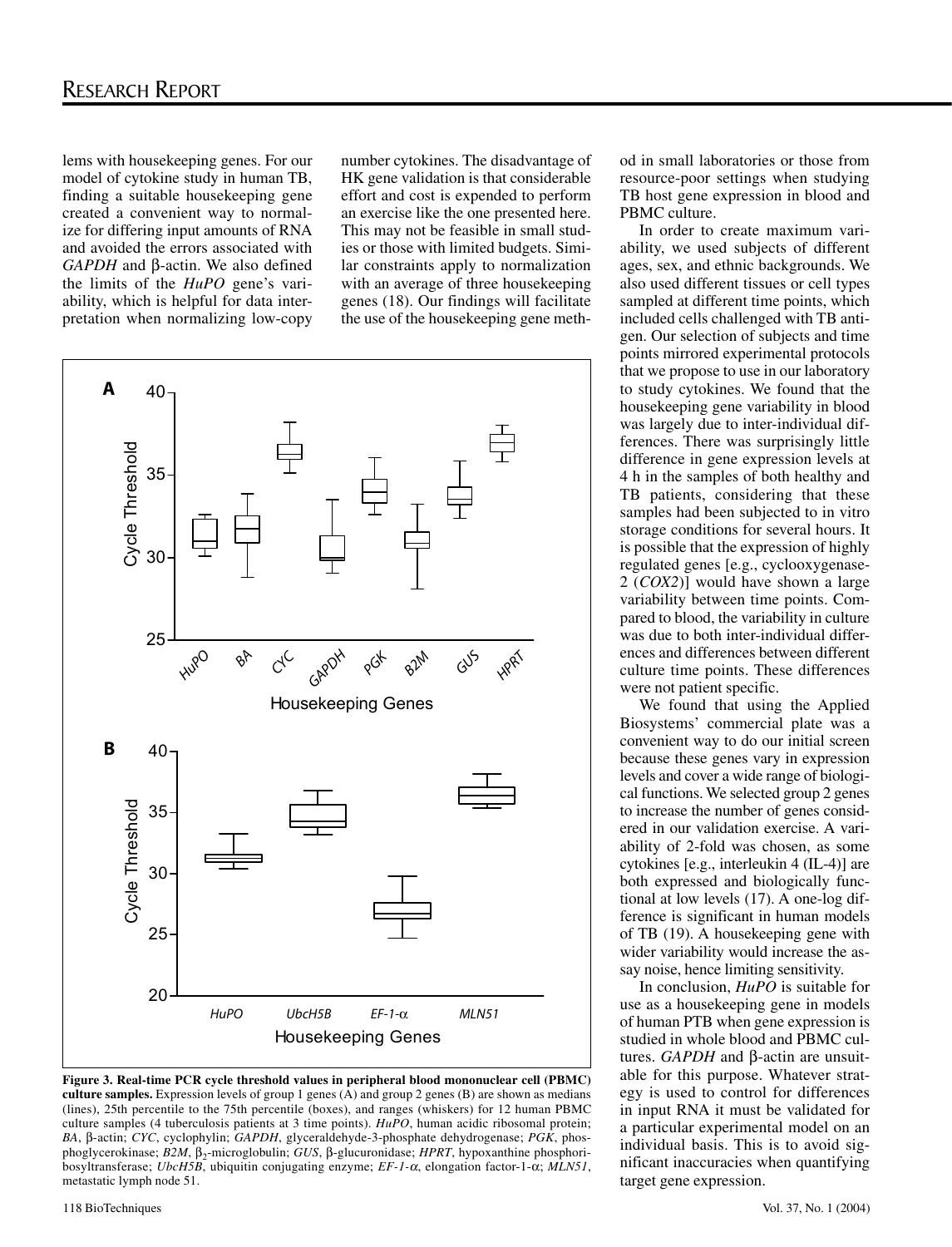lems with housekeeping genes. For our model of cytokine study in human TB, finding a suitable housekeeping gene created a convenient way to normalize for differing input amounts of RNA and avoided the errors associated with *GAPDH* and β-actin. We also defined the limits of the *HuPO* gene's variability, which is helpful for data interpretation when normalizing low-copy

number cytokines. The disadvantage of HK gene validation is that considerable effort and cost is expended to perform an exercise like the one presented here. This may not be feasible in small studies or those with limited budgets. Similar constraints apply to normalization with an average of three housekeeping genes (18). Our findings will facilitate the use of the housekeeping gene meth-



**Figure 3. Real-time PCR cycle threshold values in peripheral blood mononuclear cell (PBMC) culture samples.** Expression levels of group 1 genes (A) and group 2 genes (B) are shown as medians (lines), 25th percentile to the 75th percentile (boxes), and ranges (whiskers) for 12 human PBMC culture samples (4 tuberculosis patients at 3 time points). *HuPO*, human acidic ribosomal protein; *BA*, β-actin; *CYC*, cyclophylin; *GAPDH*, glyceraldehyde-3-phosphate dehydrogenase; *PGK*, phosphoglycerokinase; *B2M*, β2-microglobulin; *GUS*, β-glucuronidase; *HPRT*, hypoxanthine phosphoribosyltransferase; *UbcH5B*, ubiquitin conjugating enzyme; *EF-1-*α, elongation factor-1-α; *MLN51*, metastatic lymph node 51.

od in small laboratories or those from resource-poor settings when studying TB host gene expression in blood and PBMC culture.

In order to create maximum variability, we used subjects of different ages, sex, and ethnic backgrounds. We also used different tissues or cell types sampled at different time points, which included cells challenged with TB antigen. Our selection of subjects and time points mirrored experimental protocols that we propose to use in our laboratory to study cytokines. We found that the housekeeping gene variability in blood was largely due to inter-individual differences. There was surprisingly little difference in gene expression levels at 4 h in the samples of both healthy and TB patients, considering that these samples had been subjected to in vitro storage conditions for several hours. It is possible that the expression of highly regulated genes [e.g., cyclooxygenase-2 (*COX2*)] would have shown a large variability between time points. Compared to blood, the variability in culture was due to both inter-individual differences and differences between different culture time points. These differences were not patient specific.

We found that using the Applied Biosystems' commercial plate was a convenient way to do our initial screen because these genes vary in expression levels and cover a wide range of biological functions. We selected group 2 genes to increase the number of genes considered in our validation exercise. A variability of 2-fold was chosen, as some cytokines [e.g., interleukin 4 (IL-4)] are both expressed and biologically functional at low levels (17). A one-log difference is significant in human models of TB (19). A housekeeping gene with wider variability would increase the assay noise, hence limiting sensitivity.

In conclusion, *HuPO* is suitable for use as a housekeeping gene in models of human PTB when gene expression is studied in whole blood and PBMC cultures. *GAPDH* and β-actin are unsuitable for this purpose. Whatever strategy is used to control for differences in input RNA it must be validated for a particular experimental model on an individual basis. This is to avoid significant inaccuracies when quantifying target gene expression.